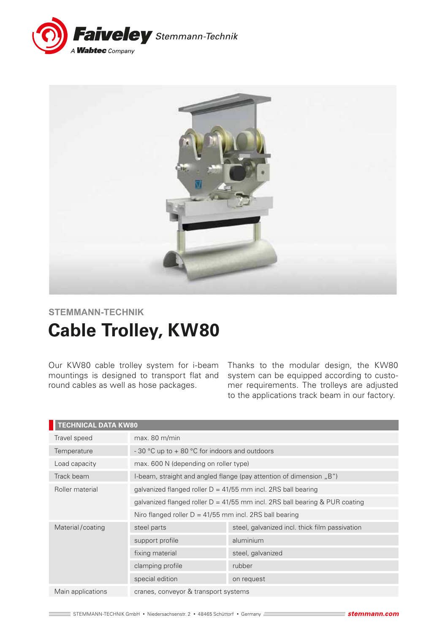



# **STEMMANN-TECHNIK**

# **Cable Trolley, KW80**

Our KW80 cable trolley system for i-beam mountings is designed to transport flat and round cables as well as hose packages.

Thanks to the modular design, the KW80 system can be equipped according to customer requirements. The trolleys are adjusted to the applications track beam in our factory.

| <b>TECHNICAL DATA KW80</b> |                                                                               |                                                |  |
|----------------------------|-------------------------------------------------------------------------------|------------------------------------------------|--|
| Travel speed               | max. 80 m/min                                                                 |                                                |  |
| Temperature                | - 30 °C up to + 80 °C for indoors and outdoors                                |                                                |  |
| Load capacity              | max. 600 N (depending on roller type)                                         |                                                |  |
| Track beam                 | I-beam, straight and angled flange (pay attention of dimension "B")           |                                                |  |
| Roller material            | galvanized flanged roller $D = 41/55$ mm incl. 2RS ball bearing               |                                                |  |
|                            | galvanized flanged roller $D = 41/55$ mm incl. 2RS ball bearing & PUR coating |                                                |  |
|                            | Niro flanged roller $D = 41/55$ mm incl. 2RS ball bearing                     |                                                |  |
| Material/coating           | steel parts                                                                   | steel, galvanized incl. thick film passivation |  |
|                            | support profile                                                               | aluminium                                      |  |
|                            | fixing material                                                               | steel, galvanized                              |  |
|                            | clamping profile                                                              | rubber                                         |  |
|                            | special edition                                                               | on request                                     |  |
| Main applications          | cranes, conveyor & transport systems                                          |                                                |  |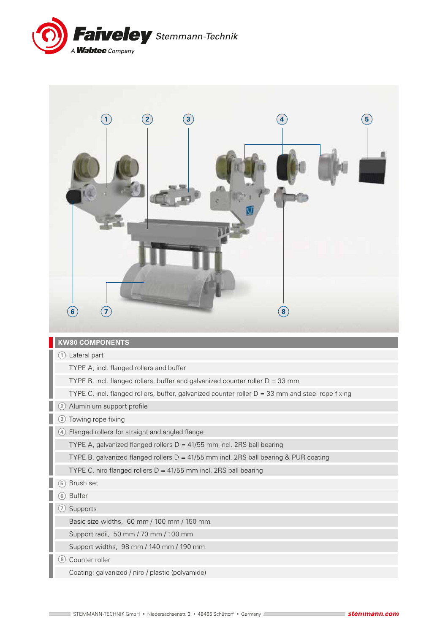

| $\left( 2\right)$<br>$\bf (3)$<br>$\overline{1}$<br>$(\mathbf{8})$<br>$\left( 6\right)$<br>$\left( 7\right)$ | $\left( 5\right)$ |
|--------------------------------------------------------------------------------------------------------------|-------------------|
| <b>KW80 COMPONENTS</b>                                                                                       |                   |
|                                                                                                              |                   |
| 1 Lateral part                                                                                               |                   |
| TYPE A, incl. flanged rollers and buffer                                                                     |                   |
| TYPE B, incl. flanged rollers, buffer and galvanized counter roller $D = 33$ mm                              |                   |
| TYPE C, incl. flanged rollers, buffer, galvanized counter roller $D = 33$ mm and steel rope fixing           |                   |
| Aluminium support profile<br>$\mathbf{2}$                                                                    |                   |
| (3) Towing rope fixing                                                                                       |                   |
| 4) Flanged rollers for straight and angled flange                                                            |                   |
| TYPE A, galvanized flanged rollers $D = 41/55$ mm incl. 2RS ball bearing                                     |                   |
| TYPE B, galvanized flanged rollers D = 41/55 mm incl. 2RS ball bearing & PUR coating                         |                   |
| TYPE C, niro flanged rollers $D = 41/55$ mm incl. 2RS ball bearing<br>$\overline{5}$                         |                   |
| Brush set<br><b>Buffer</b><br>6                                                                              |                   |
| $\left( 7\right)$<br>Supports                                                                                |                   |
| Basic size widths, 60 mm / 100 mm / 150 mm                                                                   |                   |
| Support radii, 50 mm / 70 mm / 100 mm                                                                        |                   |
| Support widths, 98 mm / 140 mm / 190 mm                                                                      |                   |
| Counter roller<br>(8)                                                                                        |                   |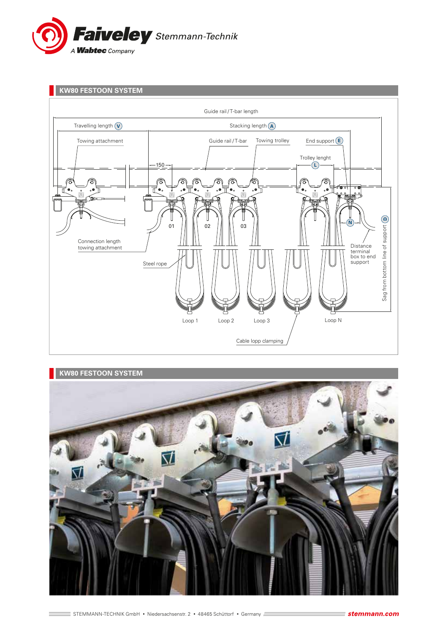







g.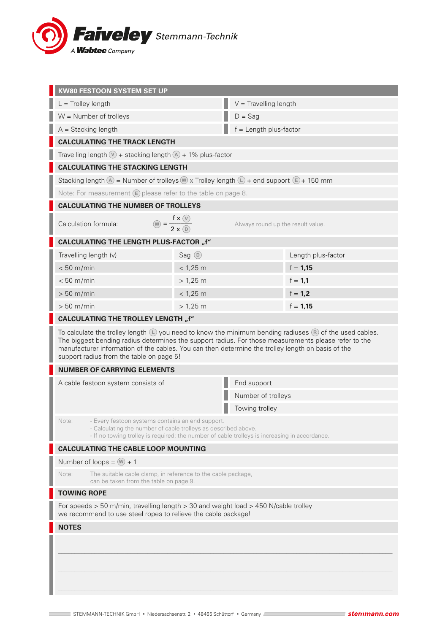

| <b>KW80 FESTOON SYSTEM SET UP</b>                                                                                                                                                                                                                                                                                                                                                    |                      |                                   |                    |  |  |
|--------------------------------------------------------------------------------------------------------------------------------------------------------------------------------------------------------------------------------------------------------------------------------------------------------------------------------------------------------------------------------------|----------------------|-----------------------------------|--------------------|--|--|
| $L =$ Trolley length                                                                                                                                                                                                                                                                                                                                                                 |                      | $V =$ Travelling length           |                    |  |  |
| $W =$ Number of trolleys                                                                                                                                                                                                                                                                                                                                                             |                      | $D = Sag$                         |                    |  |  |
| $A =$ Stacking length                                                                                                                                                                                                                                                                                                                                                                |                      | $f =$ Length plus-factor          |                    |  |  |
| <b>CALCULATING THE TRACK LENGTH</b>                                                                                                                                                                                                                                                                                                                                                  |                      |                                   |                    |  |  |
| Travelling length $\mathbb{V}$ + stacking length $\mathbb{A}$ + 1% plus-factor                                                                                                                                                                                                                                                                                                       |                      |                                   |                    |  |  |
| <b>CALCULATING THE STACKING LENGTH</b>                                                                                                                                                                                                                                                                                                                                               |                      |                                   |                    |  |  |
| Stacking length $\textcircled{A}$ = Number of trolleys $\textcircled{w}$ x Trolley length $\textcircled{L}$ + end support $\textcircled{E}$ + 150 mm                                                                                                                                                                                                                                 |                      |                                   |                    |  |  |
| Note: For measurement $\epsilon$ please refer to the table on page 8.                                                                                                                                                                                                                                                                                                                |                      |                                   |                    |  |  |
| <b>CALCULATING THE NUMBER OF TROLLEYS</b>                                                                                                                                                                                                                                                                                                                                            |                      |                                   |                    |  |  |
| $\omega = \frac{f \times \omega}{2 \times \omega}$<br>Calculation formula:                                                                                                                                                                                                                                                                                                           |                      | Always round up the result value. |                    |  |  |
| <b>CALCULATING THE LENGTH PLUS-FACTOR "f"</b>                                                                                                                                                                                                                                                                                                                                        |                      |                                   |                    |  |  |
| Travelling length (v)                                                                                                                                                                                                                                                                                                                                                                | Sag $\odot$          |                                   | Length plus-factor |  |  |
| $< 50$ m/min                                                                                                                                                                                                                                                                                                                                                                         | $< 1,25$ m           |                                   | $f = 1,15$         |  |  |
| $< 50$ m/min                                                                                                                                                                                                                                                                                                                                                                         | $> 1,25 \, \text{m}$ |                                   | $f = 1,1$          |  |  |
| $> 50$ m/min                                                                                                                                                                                                                                                                                                                                                                         | $< 1,25$ m           |                                   | $f = 1,2$          |  |  |
| $> 50$ m/min                                                                                                                                                                                                                                                                                                                                                                         | $> 1,25 \, \text{m}$ |                                   | $f = 1,15$         |  |  |
| <b>CALCULATING THE TROLLEY LENGTH "f"</b>                                                                                                                                                                                                                                                                                                                                            |                      |                                   |                    |  |  |
| To calculate the trolley length $\mathbb{L}$ you need to know the minimum bending radiuses $\mathbb{R}$ of the used cables.<br>The biggest bending radius determines the support radius. For those measurements please refer to the<br>manufacturer information of the cables. You can then determine the trolley length on basis of the<br>support radius from the table on page 5! |                      |                                   |                    |  |  |
| <b>NUMBER OF CARRYING ELEMENTS</b>                                                                                                                                                                                                                                                                                                                                                   |                      |                                   |                    |  |  |
| A cable festoon system consists of                                                                                                                                                                                                                                                                                                                                                   |                      | End support                       |                    |  |  |
|                                                                                                                                                                                                                                                                                                                                                                                      |                      | Number of trolleys                |                    |  |  |
|                                                                                                                                                                                                                                                                                                                                                                                      |                      | Towing trolley                    |                    |  |  |
| - Every festoon systems contains an end support.<br>Note:<br>- Calculating the number of cable trolleys as described above.<br>- If no towing trolley is required; the number of cable trolleys is increasing in accordance.                                                                                                                                                         |                      |                                   |                    |  |  |
| <b>CALCULATING THE CABLE LOOP MOUNTING</b>                                                                                                                                                                                                                                                                                                                                           |                      |                                   |                    |  |  |
| Number of loops = $(w) + 1$                                                                                                                                                                                                                                                                                                                                                          |                      |                                   |                    |  |  |
| The suitable cable clamp, in reference to the cable package,<br>Note:<br>can be taken from the table on page 9.                                                                                                                                                                                                                                                                      |                      |                                   |                    |  |  |
| <b>TOWING ROPE</b>                                                                                                                                                                                                                                                                                                                                                                   |                      |                                   |                    |  |  |
| For speeds > 50 m/min, travelling length > 30 and weight load > 450 N/cable trolley<br>we recommend to use steel ropes to relieve the cable package!                                                                                                                                                                                                                                 |                      |                                   |                    |  |  |
| <b>NOTES</b>                                                                                                                                                                                                                                                                                                                                                                         |                      |                                   |                    |  |  |
|                                                                                                                                                                                                                                                                                                                                                                                      |                      |                                   |                    |  |  |
|                                                                                                                                                                                                                                                                                                                                                                                      |                      |                                   |                    |  |  |
|                                                                                                                                                                                                                                                                                                                                                                                      |                      |                                   |                    |  |  |
|                                                                                                                                                                                                                                                                                                                                                                                      |                      |                                   |                    |  |  |
|                                                                                                                                                                                                                                                                                                                                                                                      |                      |                                   |                    |  |  |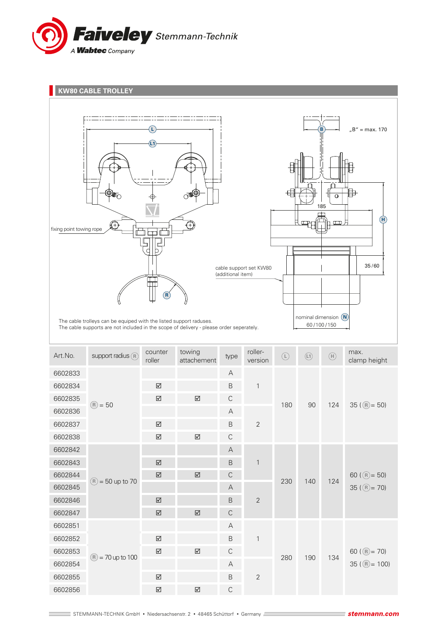

**KW80 CABLE TROLLEY** matematika mengenai pada yang berakhasil  $B'' = \text{max. } 170$ **L B L1** 中 € 185 **H** Ð fixing point towing rope ᆏℾ 35 / 60 cable support set KW80 (additional item) ┿┿ **R** nominal dimension **N** The cable trolleys can be equiped with the listed support raduses. 60 /100 /150 The cable supports are not included in the scope of delivery - please order seperately. towing Art. No. support radius  $\overline{R}$  counter rollermax. towing<br>attachement type **R L L1 H**roller version clamp height 6602833 A 6602834 B 1 6602835 C  $(R) = 50$ 180 90 124 35 ( $(R) = 50$ ) **R R** 6602836 A 6602837 B 2 6602838 C 6602842 A 6602843 B 1 6602844 C 60 ( $(R) = 50$ ) 230 140 124  $(R) = 50$  up to 70  $6602845$  A  $35 (R) = 70$ 6602846 B 2 6602847 C 6602851 A 6602852 B 1 6602853 C 60 ( $(R) = 70$ )

 $(R) = 70$  up to 100

6602854 A

6602856 C

6602855 B 2

 $35 ((R) = 100)$ 

280 190 134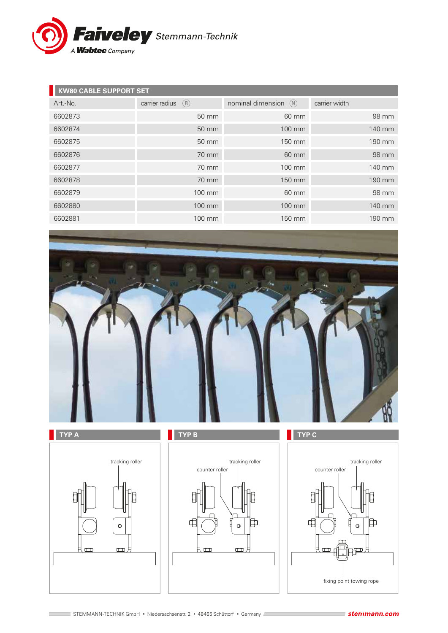

| <b>KW80 CABLE SUPPORT SET</b> |                       |                          |               |  |  |
|-------------------------------|-----------------------|--------------------------|---------------|--|--|
| Art.-No.                      | carrier radius<br>(R) | nominal dimension<br>(N) | carrier width |  |  |
| 6602873                       | 50 mm                 | 60 mm                    | 98 mm         |  |  |
| 6602874                       | 50 mm                 | 100 mm                   | 140 mm        |  |  |
| 6602875                       | 50 mm                 | 150 mm                   | 190 mm        |  |  |
| 6602876                       | 70 mm                 | 60 mm                    | 98 mm         |  |  |
| 6602877                       | 70 mm                 | 100 mm                   | 140 mm        |  |  |
| 6602878                       | 70 mm                 | 150 mm                   | 190 mm        |  |  |
| 6602879                       | 100 mm                | 60 mm                    | 98 mm         |  |  |
| 6602880                       | 100 mm                | 100 mm                   | 140 mm        |  |  |
| 6602881                       | 100 mm                | 150 mm                   | 190 mm        |  |  |









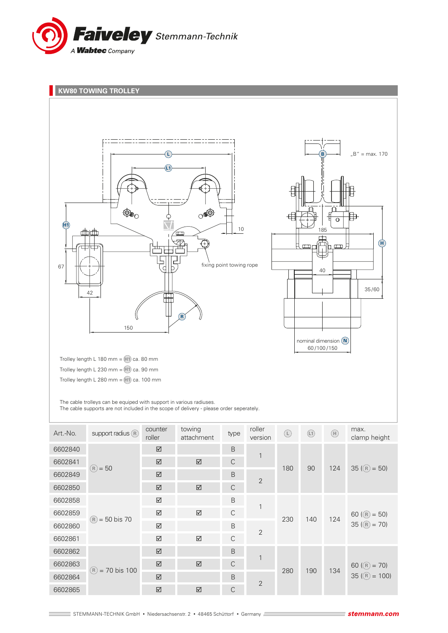





2

1

2

1

2

STEMMANN-TECHNIK GmbH · Niedersachsenstr. 2 · 48465 Schüttorf · Germany

6602850  **C** 

6602859 C 6602860 B

6602861 C 6602862 B

6602864 B

6602865 C

 $\boxtimes$  B

C

 $(R) = 50$  bis 70

= 70 bis 100 **R**

6602858

6602863

 $35 (R) = 100$ 

 $35 ((R) = 70)$ 

230 140 124 60 ( $(R) = 50$ )

280 190 134 60 ( $(R) = 70$ )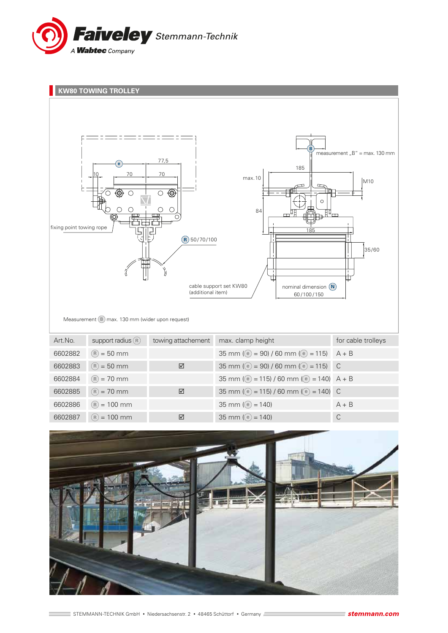



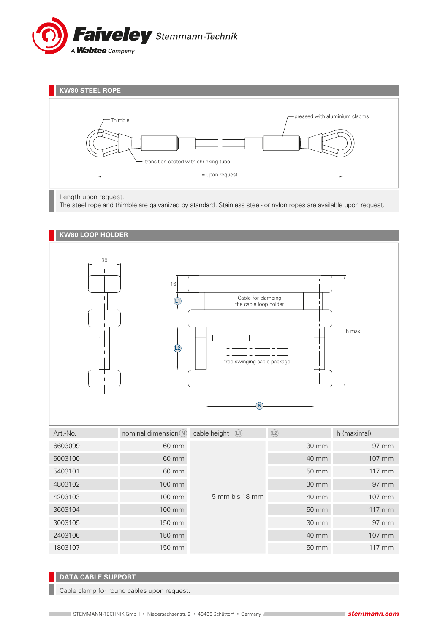



#### Length upon request.

The steel rope and thimble are galvanized by standard. Stainless steel- or nylon ropes are available upon request.



## **DATA CABLE SUPPORT**

Cable clamp for round cables upon request.